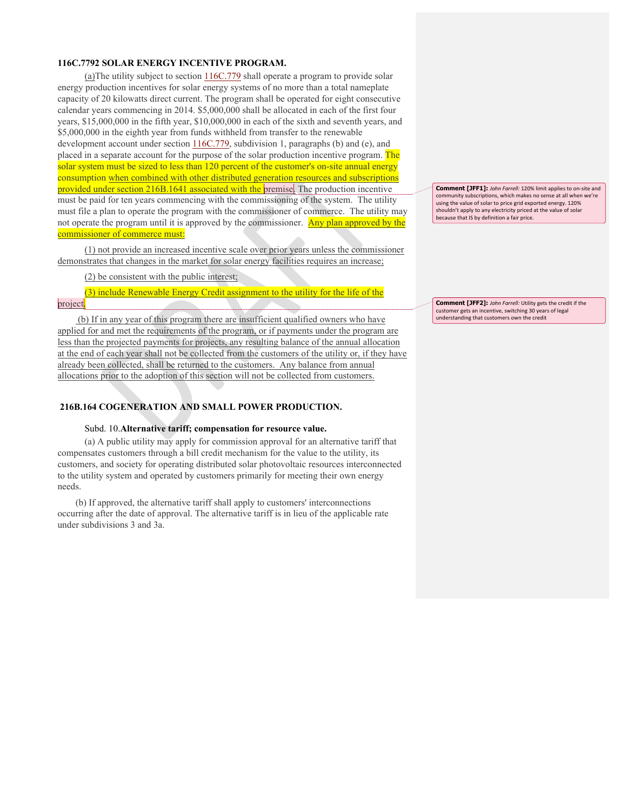## **116C.7792 SOLAR ENERGY INCENTIVE PROGRAM.**

(a)The utility subject to section 116C.779 shall operate a program to provide solar energy production incentives for solar energy systems of no more than a total nameplate capacity of 20 kilowatts direct current. The program shall be operated for eight consecutive calendar years commencing in 2014. \$5,000,000 shall be allocated in each of the first four years, \$15,000,000 in the fifth year, \$10,000,000 in each of the sixth and seventh years, and \$5,000,000 in the eighth year from funds withheld from transfer to the renewable development account under section 116C.779, subdivision 1, paragraphs (b) and (e), and placed in a separate account for the purpose of the solar production incentive program. The solar system must be sized to less than 120 percent of the customer's on-site annual energy consumption when combined with other distributed generation resources and subscriptions provided under section 216B.1641 associated with the premise. The production incentive must be paid for ten years commencing with the commissioning of the system. The utility must file a plan to operate the program with the commissioner of commerce. The utility may not operate the program until it is approved by the commissioner. Any plan approved by the commissioner of commerce must:

(1) not provide an increased incentive scale over prior years unless the commissioner demonstrates that changes in the market for solar energy facilities requires an increase;

(2) be consistent with the public interest;

(3) include Renewable Energy Credit assignment to the utility for the life of the project.

(b) If in any year of this program there are insufficient qualified owners who have applied for and met the requirements of the program, or if payments under the program are less than the projected payments for projects, any resulting balance of the annual allocation at the end of each year shall not be collected from the customers of the utility or, if they have already been collected, shall be returned to the customers. Any balance from annual allocations prior to the adoption of this section will not be collected from customers.

# **216B.164 COGENERATION AND SMALL POWER PRODUCTION.**

### Subd. 10.**Alternative tariff; compensation for resource value.**

(a) A public utility may apply for commission approval for an alternative tariff that compensates customers through a bill credit mechanism for the value to the utility, its customers, and society for operating distributed solar photovoltaic resources interconnected to the utility system and operated by customers primarily for meeting their own energy needs.

(b) If approved, the alternative tariff shall apply to customers' interconnections occurring after the date of approval. The alternative tariff is in lieu of the applicable rate under subdivisions 3 and 3a.

**Comment [JFF1]:** John Farrell: 120% limit applies to on-site and community subscriptions, which makes no sense at all when we're using the value of solar to price grid exported energy. 120% shouldn't apply to any electricity priced at the value of solar because that IS by definition a fair price.

**Comment [JFF2]:** John Farrell: Utility gets the credit if the customer gets an incentive, switching 30 years of legal understanding that customers own the credit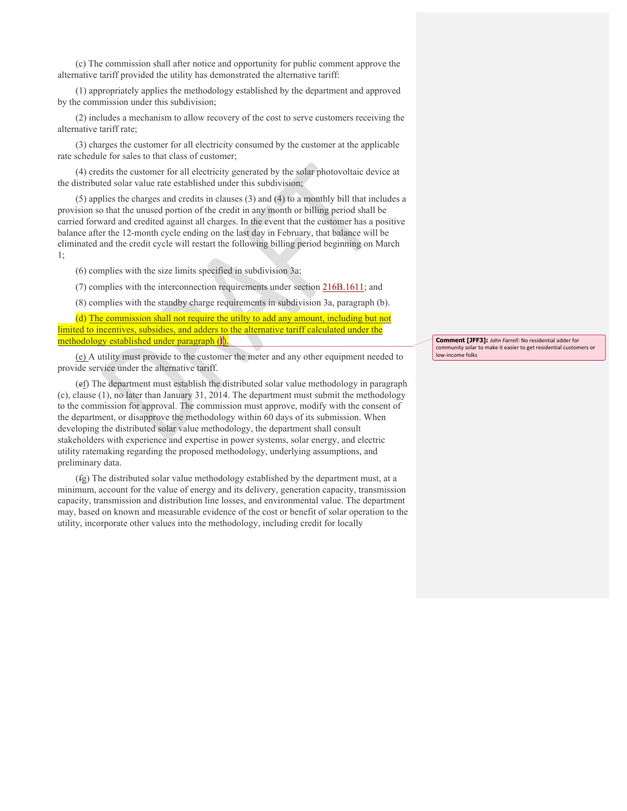(c) The commission shall after notice and opportunity for public comment approve the alternative tariff provided the utility has demonstrated the alternative tariff:

(1) appropriately applies the methodology established by the department and approved by the commission under this subdivision;

(2) includes a mechanism to allow recovery of the cost to serve customers receiving the alternative tariff rate;

(3) charges the customer for all electricity consumed by the customer at the applicable rate schedule for sales to that class of customer;

(4) credits the customer for all electricity generated by the solar photovoltaic device at the distributed solar value rate established under this subdivision;

(5) applies the charges and credits in clauses (3) and (4) to a monthly bill that includes a provision so that the unused portion of the credit in any month or billing period shall be carried forward and credited against all charges. In the event that the customer has a positive balance after the 12-month cycle ending on the last day in February, that balance will be eliminated and the credit cycle will restart the following billing period beginning on March 1;

(6) complies with the size limits specified in subdivision 3a;

(7) complies with the interconnection requirements under section 216B.1611; and

(8) complies with the standby charge requirements in subdivision 3a, paragraph (b).

(d) The commission shall not require the utilty to add any amount, including but not limited to incentives, subsidies, and adders to the alternative tariff calculated under the methodology established under paragraph (f).

(e) A utility must provide to the customer the meter and any other equipment needed to provide service under the alternative tariff.

(ef) The department must establish the distributed solar value methodology in paragraph (c), clause (1), no later than January 31, 2014. The department must submit the methodology to the commission for approval. The commission must approve, modify with the consent of the department, or disapprove the methodology within 60 days of its submission. When developing the distributed solar value methodology, the department shall consult stakeholders with experience and expertise in power systems, solar energy, and electric utility ratemaking regarding the proposed methodology, underlying assumptions, and preliminary data.

(fg) The distributed solar value methodology established by the department must, at a minimum, account for the value of energy and its delivery, generation capacity, transmission capacity, transmission and distribution line losses, and environmental value. The department may, based on known and measurable evidence of the cost or benefit of solar operation to the utility, incorporate other values into the methodology, including credit for locally

**Comment [JFF3]:** *John Farrell:* No residential adder for community solar to make it easier to get residential customers or low-income folks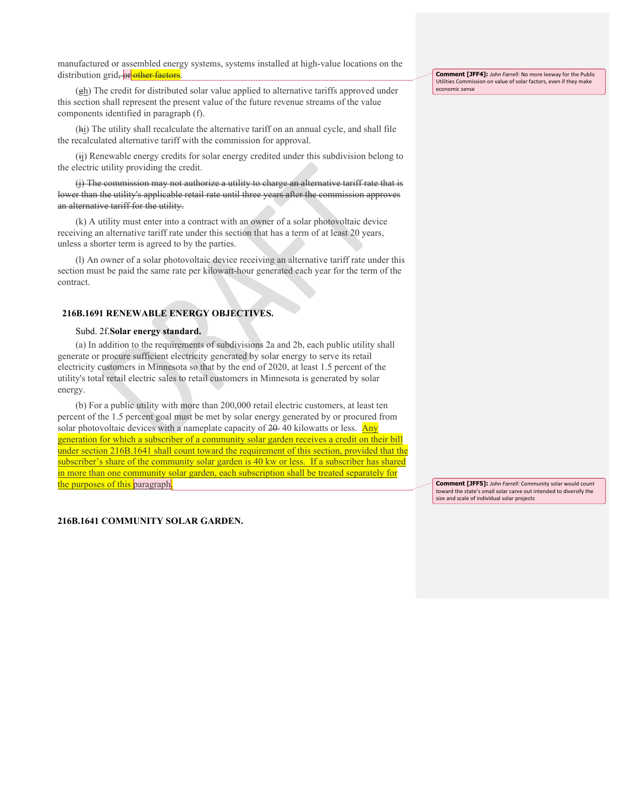manufactured or assembled energy systems, systems installed at high-value locations on the distribution grid, or other factors

(gh) The credit for distributed solar value applied to alternative tariffs approved under this section shall represent the present value of the future revenue streams of the value components identified in paragraph (f).

(hi) The utility shall recalculate the alternative tariff on an annual cycle, and shall file the recalculated alternative tariff with the commission for approval.

(ij) Renewable energy credits for solar energy credited under this subdivision belong to the electric utility providing the credit.

(j) The commission may not authorize a utility to charge an alternative tariff rate that is lower than the utility's applicable retail rate until three years after the commission approves an alternative tariff for the utility.

(k) A utility must enter into a contract with an owner of a solar photovoltaic device receiving an alternative tariff rate under this section that has a term of at least 20 years, unless a shorter term is agreed to by the parties.

(l) An owner of a solar photovoltaic device receiving an alternative tariff rate under this section must be paid the same rate per kilowatt-hour generated each year for the term of the contract.

## **216B.1691 RENEWABLE ENERGY OBJECTIVES.**

#### Subd. 2f.**Solar energy standard.**

(a) In addition to the requirements of subdivisions 2a and 2b, each public utility shall generate or procure sufficient electricity generated by solar energy to serve its retail electricity customers in Minnesota so that by the end of 2020, at least 1.5 percent of the utility's total retail electric sales to retail customers in Minnesota is generated by solar energy.

(b) For a public utility with more than 200,000 retail electric customers, at least ten percent of the 1.5 percent goal must be met by solar energy generated by or procured from solar photovoltaic devices with a nameplate capacity of  $20-40$  kilowatts or less. Any generation for which a subscriber of a community solar garden receives a credit on their bill under section 216B.1641 shall count toward the requirement of this section, provided that the subscriber's share of the community solar garden is 40 kw or less. If a subscriber has shared in more than one community solar garden, each subscription shall be treated separately for the purposes of this paragraph.

**Comment [JFF5]:** John Farrell: Community solar would count toward the state's small solar carve out intended to diversify the size and scale of individual solar projects

#### **216B.1641 COMMUNITY SOLAR GARDEN.**

**Comment [JFF4]:** John Farrell: No more leeway for the Public Utilities Commission on value of solar factors, even if they make economic sense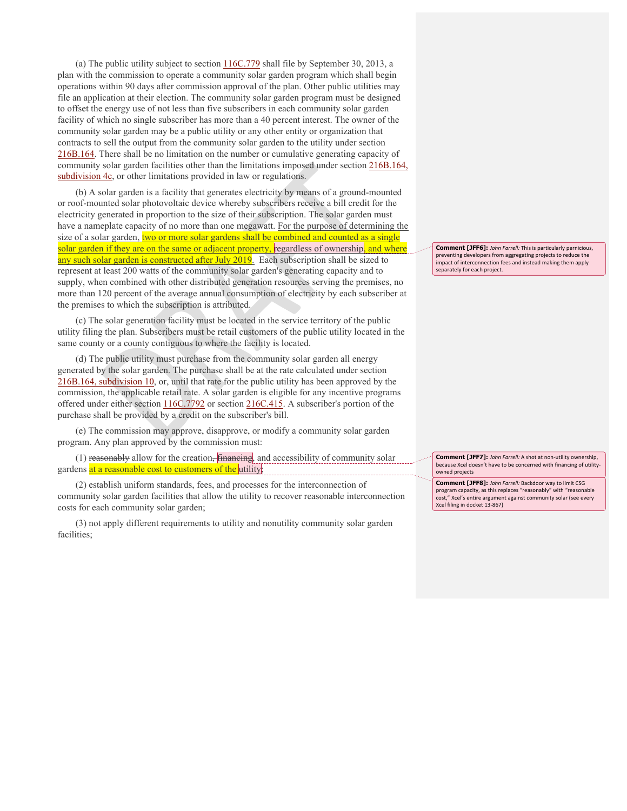(a) The public utility subject to section 116C.779 shall file by September 30, 2013, a plan with the commission to operate a community solar garden program which shall begin operations within 90 days after commission approval of the plan. Other public utilities may file an application at their election. The community solar garden program must be designed to offset the energy use of not less than five subscribers in each community solar garden facility of which no single subscriber has more than a 40 percent interest. The owner of the community solar garden may be a public utility or any other entity or organization that contracts to sell the output from the community solar garden to the utility under section 216B.164. There shall be no limitation on the number or cumulative generating capacity of community solar garden facilities other than the limitations imposed under section 216B.164, subdivision 4c, or other limitations provided in law or regulations.

(b) A solar garden is a facility that generates electricity by means of a ground-mounted or roof-mounted solar photovoltaic device whereby subscribers receive a bill credit for the electricity generated in proportion to the size of their subscription. The solar garden must have a nameplate capacity of no more than one megawatt. For the purpose of determining the size of a solar garden, two or more solar gardens shall be combined and counted as a single solar garden if they are on the same or adjacent property, regardless of ownership, and where any such solar garden is constructed after July 2019. Each subscription shall be sized to represent at least 200 watts of the community solar garden's generating capacity and to supply, when combined with other distributed generation resources serving the premises, no more than 120 percent of the average annual consumption of electricity by each subscriber at the premises to which the subscription is attributed.

(c) The solar generation facility must be located in the service territory of the public utility filing the plan. Subscribers must be retail customers of the public utility located in the same county or a county contiguous to where the facility is located.

(d) The public utility must purchase from the community solar garden all energy generated by the solar garden. The purchase shall be at the rate calculated under section 216B.164, subdivision 10, or, until that rate for the public utility has been approved by the commission, the applicable retail rate. A solar garden is eligible for any incentive programs offered under either section 116C.7792 or section 216C.415. A subscriber's portion of the purchase shall be provided by a credit on the subscriber's bill.

(e) The commission may approve, disapprove, or modify a community solar garden program. Any plan approved by the commission must:

(1) reasonably allow for the creation, financing, and accessibility of community solar gardens at a reasonable cost to customers of the utility;

(2) establish uniform standards, fees, and processes for the interconnection of community solar garden facilities that allow the utility to recover reasonable interconnection costs for each community solar garden;

(3) not apply different requirements to utility and nonutility community solar garden facilities;

**Comment [JFF6]:** *John Farrell:* This is particularly pernicious, preventing developers from aggregating projects to reduce the<br>impact of interconnection fees and instead making them apply separately for each project.

**Comment [JFF7]:** *John Farrell:* A shot at non-utility ownership, because Xcel doesn't have to be concerned with financing of utilityowned projects

**Comment [JFF8]:** John Farrell: Backdoor way to limit CSG program capacity, as this replaces "reasonably" with "reasonable cost," Xcel's entire argument against community solar (see every Xcel filing in docket 13-867)